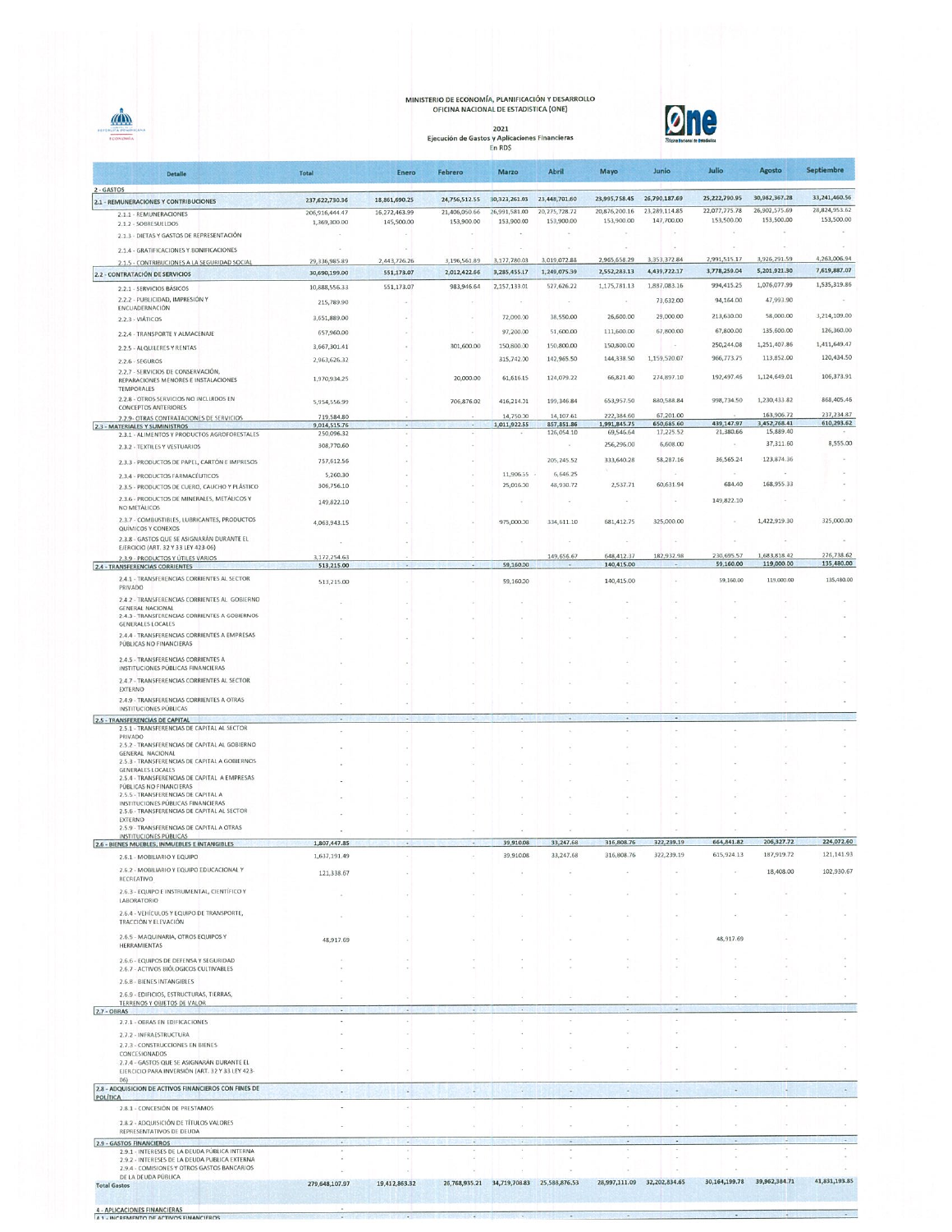## MINISTERIO DE ECONOMÍA, PLANIFICACIÓN Y DESARROLLO<br>OFICINA NACIONAL DE ESTADISTICA (ONE)

2021<br>Ejecución de Gastos y Aplicaciones Financieras<br>En RD\$

 $\triangle$ 



| <b>Detaile</b>                                                                                  | <b>Total</b>               | Enero         | Febrero                      | <b>Marzo</b>                 | <b>Abril</b>                              | Mayo                         | Junio                        | Julio                        | <b>Agosto</b>                | <b>Septiembre</b>            |
|-------------------------------------------------------------------------------------------------|----------------------------|---------------|------------------------------|------------------------------|-------------------------------------------|------------------------------|------------------------------|------------------------------|------------------------------|------------------------------|
| 2 - GASTOS<br>2.1 - REMUNERACIONES Y CONTRIBUCIONES                                             | 237,622,730.36             | 18,861,690.25 | 24,756,512.55                | 30,323,261.03                | 23,448,701.60                             | 23,995,758.45                | 26,790,187.69                | 25,222,790.95                | 30.982.367.28                | 33,241,460.56                |
| 2.1.1 - REMUNERACIONES                                                                          | 206,916,444.47             | 16,272,463.99 | 21,406,050.66                | 26,991,581.00                | 20, 275, 728.72                           | 20,876,200.16                | 23,289,114.85                | 22,077,775.78                | 26,902,575.69                | 28,824,953.62                |
| 2.1.2 - SOBRESUELDOS                                                                            | 1,369,300.00               | 145,500.00    | 153,900.00                   | 153,900.00                   | 153,900.00                                | 153,900.00                   | 147,700.00                   | 153,500.00                   | 153,500.00                   | 153,500.00                   |
| 2.1.3 - DIETAS Y GASTOS DE REPRESENTACIÓN                                                       |                            |               |                              |                              |                                           |                              |                              | $\sim$                       |                              |                              |
| 2.1.4 - GRATIFICACIONES Y BONIFICACIONES                                                        |                            |               |                              |                              |                                           |                              |                              |                              |                              |                              |
| 2.1.5 - CONTRIBUCIONES A LA SEGURIDAD SOCIAL                                                    | 29,336,985.89              | 2,443,726.26  | 3,196,561.89<br>2,012,422.66 | 3.177.780.03<br>3.285.455.17 | 3,019,072.88<br>1,249,075.39              | 2,965,658.29<br>2,552,283.13 | 3,353,372.84<br>4,439,722.17 | 2,991,515.17<br>3,778,259.04 | 3,926,291.59<br>5,201,921.30 | 4,263,006.94<br>7,619,887.07 |
| 2.2 - CONTRATACIÓN DE SERVICIOS                                                                 | 30,690,199.00              | 551,173.07    |                              |                              | 527,626.22                                | 1,175,781.13                 | 1,887,083.16                 | 994,415.25                   | 1,076,077.99                 | 1,535,319.86                 |
| 2.2.1 - SERVICIOS BÁSICOS<br>2.2.2 - PUBLICIDAD, IMPRESIÓN Y                                    | 10,888,556.33              | 551,173.07    | 983,946.64                   | 2,157,133.01                 |                                           |                              |                              |                              | 47,993.90                    |                              |
| ENCUADERNACIÓN                                                                                  | 215,789.90                 |               |                              |                              |                                           |                              | 73,632.00                    | 94,164.00                    |                              |                              |
| 2.2.3 - VIATICOS                                                                                | 3,651,889.00               |               |                              | 72,000.00                    | 38,550.00                                 | 26,600.00                    | 29,000.00                    | 213,630.00                   | 58,000.00                    | 3,214,109.00                 |
| 2.2.4 - TRANSPORTE Y ALMACENAJE                                                                 | 657,960.00                 |               |                              | 97,200.00                    | 51,600.00                                 | 111,600.00                   | 67,800.00                    | 67,800.00                    | 135,600.00                   | 126,360.00                   |
| 2.2.5 - ALQUILERES Y RENTAS                                                                     | 3,667,301.41               |               | 301,600.00                   | 150,800.00                   | 150,800.00                                | 150,800.00                   |                              | 250,244.08                   | 1,251,407.86                 | 1,411,649.47                 |
| 2.2.6 - SEGUROS                                                                                 | 2,963,626.32               |               |                              | 315,742.00                   | 142,965.50                                | 144,338.50                   | 1,159,520.07                 | 966,773.75                   | 113,852.00                   | 120,434.50                   |
| 2.2.7 - SERVICIOS DE CONSERVACIÓN,<br>REPARACIONES MENORES E INSTALACIONES<br><b>TEMPORALES</b> | 1,970,934.25               |               | 20,000.00                    | 61,616.15                    | 124,079.22                                | 66,821.40                    | 274.897.10                   | 192.497.46                   | 1,124,649.01                 | 106,373.91                   |
| 2.2.8 - OTROS SERVICIOS NO INCLUIDOS EN                                                         | 5,954,556.99               |               | 706,876.02                   | 416,214.01                   | 199,346.84                                | 653,957.50                   | 880,588.84                   | 998,734.50                   | 1,230,433.82                 | 868,405.46                   |
| <b>CONCEPTOS ANTERIORES</b><br>2.2.9- OTRAS CONTRATACIONES DE SERVICIOS                         | 719.584.80                 |               |                              | 14,750.00                    | 14,107.61                                 | 222,384.60                   | 67,201.00                    |                              | 163,906.72                   | 237,234.87                   |
| <b>2.3 - MATERIALES Y SUMINISTROS</b><br>2.3.1 - ALIMENTOS Y PRODUCTOS AGROFORESTALES           | 9,014,515.76<br>250,096.32 |               | $\sim$                       | 1,011,922.55                 | 857,851.86<br>126,054.10                  | 1,991,845.75<br>69,546.64    | 650,685.60<br>17,225.52      | 439,147.97<br>21,380.66      | 3,452,768.41<br>15,889.40    | 610,293.62                   |
| 2.3.2 - TEXTILES Y VESTUARIOS                                                                   | 308,770.60                 |               |                              |                              |                                           | 256,296.00                   | 6,608.00                     |                              | 37,311.60                    | 8,555.00                     |
|                                                                                                 | 757,612.56                 |               |                              |                              | 205,245.52                                | 333,640.28                   | 58,287.16                    | 36,565.24                    | 123.874.36                   |                              |
| 2.3.3 - PRODUCTOS DE PAPEL, CARTÓN E IMPRESOS                                                   | 5,260.30                   |               |                              | 11,906.55                    | 6,646.25                                  |                              |                              |                              |                              |                              |
| 2.3.4 - PRODUCTOS FARMACÉUTICOS<br>2.3.5 - PRODUCTOS DE CUERO, CAUCHO Y PLÁSTICO                | 306,756.10                 |               |                              | 25,016.00                    | 48,930.72                                 | 2,537.71                     | 60.631.94                    | 684.40                       | 168,955.33                   |                              |
| 2.3.6 - PRODUCTOS DE MINERALES, METÁLICOS Y                                                     | 149,822.10                 |               |                              |                              |                                           |                              |                              | 149,822.10                   |                              |                              |
| NO METALICOS                                                                                    |                            |               |                              |                              |                                           |                              |                              |                              |                              |                              |
| 2.3.7 - COMBUSTIBLES, LUBRICANTES, PRODUCTOS<br>QUÍMICOS Y CONEXOS                              | 4,063,943.15               |               |                              | 975,000.00                   | 334,611.10                                | 681,412.75                   | 325,000.00                   |                              | 1,422,919.30                 | 325,000.00                   |
| 2.3.8 - GASTOS QUE SE ASIGNARÁN DURANTE EL<br>EJERCICIO (ART. 32 Y 33 LEY 423-06)               |                            |               |                              |                              |                                           |                              |                              |                              |                              |                              |
| 2.3.9 - PRODUCTOS Y ÚTILES VARIOS                                                               | 3,172,254.63               |               |                              |                              | 149,656.67                                | 648,412.37                   | 182,932.98                   | 230,695.57<br>59,160.00      | 1,683,818.42<br>119,000.00   | 276,738.62<br>135,480.00     |
| <b>2.4 - TRANSFERENCIAS CORRIENTES</b>                                                          | 513,215.00                 |               |                              | 59,160.00                    |                                           | 140,415.00                   |                              |                              |                              |                              |
| 2.4.1 - TRANSFERENCIAS CORRIENTES AL SECTOR<br>PRIVADO                                          | 513,215.00                 |               |                              | 59,160.00                    |                                           | 140,415.00                   |                              | 59,160.00                    | 119,000.00                   | 135,480.00                   |
| 2.4.2 - TRANSFERENCIAS CORRIENTES AL GOBIERNO                                                   |                            |               |                              |                              |                                           |                              |                              |                              |                              |                              |
| <b>GENERAL NACIONAL</b><br>2.4.3 - TRANSFERENCIAS CORRIENTES A GOBIERNOS                        |                            |               |                              |                              |                                           |                              |                              |                              |                              |                              |
| <b>GENERALES LOCALES</b>                                                                        |                            |               |                              |                              |                                           |                              |                              |                              |                              |                              |
| 2.4.4 - TRANSFERENCIAS CORRIENTES A EMPRESAS<br>PÚBLICAS NO FINANCIERAS                         |                            |               |                              |                              |                                           |                              |                              |                              |                              |                              |
| 2.4.5 - TRANSFERENCIAS CORRIENTES A                                                             |                            |               |                              |                              |                                           |                              |                              |                              |                              |                              |
| INSTITUCIONES PÚBLICAS FINANCIERAS                                                              |                            |               |                              |                              |                                           |                              |                              |                              |                              |                              |
| 2.4.7 - TRANSFERENCIAS CORRIENTES AL SECTOR                                                     |                            |               |                              |                              |                                           |                              |                              |                              |                              |                              |
| <b>EXTERNO</b><br>2.4.9 - TRANSFERENCIAS CORRIENTES A OTRAS                                     |                            |               |                              |                              |                                           |                              |                              |                              |                              |                              |
| INSTITUCIONES PÚBLICAS                                                                          |                            |               |                              |                              |                                           |                              |                              |                              |                              |                              |
| 2.5 - TRANSFERENCIAS DE CAPITAL<br>2.5.1 - TRANSFERENCIAS DE CAPITAL AL SECTOR                  |                            | ٠             |                              |                              |                                           | $\cdot$                      | н.                           |                              |                              |                              |
| PRIVADO<br>2.5.2 - TRANSFERENCIAS DE CAPITAL AL GOBIERNO                                        |                            |               |                              |                              |                                           |                              |                              |                              |                              |                              |
| <b>GENERAL NACIONAL</b>                                                                         |                            |               |                              |                              |                                           |                              |                              |                              |                              |                              |
| 2.5.3 - TRANSFERENCIAS DE CAPITAL A GOBIERNOS<br><b>GENERALES LOCALES</b>                       |                            |               |                              |                              |                                           |                              |                              |                              |                              |                              |
| 2.5.4 - TRANSFERENCIAS DE CAPITAL A EMPRESAS                                                    |                            |               |                              |                              |                                           |                              |                              |                              |                              |                              |
| PÚBLICAS NO FINANCIERAS<br>2.5.5 - TRANSFERENCIAS DE CAPITAL A                                  |                            |               |                              |                              |                                           |                              |                              |                              |                              |                              |
| INSTITUCIONES PÚBLICAS FINANCIERAS<br>2.5.6 - TRANSFERENCIAS DE CAPITAL AL SECTOR               |                            |               |                              |                              |                                           |                              |                              |                              |                              |                              |
| EXTERNO                                                                                         |                            |               |                              |                              |                                           |                              |                              |                              |                              |                              |
| 2.5.9 - TRANSFERENCIAS DE CAPITAL A OTRAS<br>INSTITUCIONES PÚBLICAS                             |                            |               |                              |                              |                                           |                              | $\lambda$                    |                              |                              |                              |
| 2.6 - BIENES MUEBLES, INMUEBLES E INTANGIBLES                                                   | 1,807,447.85               |               |                              | 39,910.08                    | 33,247.68                                 | 316,808.76                   | 322,239.19                   | 664,841.82                   | 206,327.72                   | 224,072.60                   |
| 2.6.1 - MOBILIARIO Y EQUIPO                                                                     | 1,637,191.49               |               |                              | 39,910.08                    | 33,247.68                                 | 316,808.76                   | 322,239.19                   | 615,924.13                   | 187,919.72                   | 121,141.93                   |
| 2.6.2 - MOBILIARIO Y EQUIPO EDUCACIONAL Y<br>RECREATIVO                                         | 121,338.67                 |               |                              |                              |                                           |                              |                              |                              | 18,408.00                    | 102,930.67                   |
| 2.6.3 - EQUIPO E INSTRUMENTAL, CIENTÍFICO Y                                                     |                            |               |                              |                              |                                           |                              |                              |                              |                              |                              |
| LABORATORIO                                                                                     |                            |               |                              |                              |                                           |                              |                              |                              |                              |                              |
| 2.6.4 - VEHÍCULOS Y EQUIPO DE TRANSPORTE,<br>TRACCIÓN Y ELEVACIÓN                               |                            |               |                              |                              |                                           |                              |                              |                              |                              |                              |
| 2.6.5 - MAQUINARIA, OTROS EQUIPOS Y                                                             |                            |               |                              |                              |                                           |                              |                              | 48,917.69                    |                              |                              |
| HERRAMIENTAS                                                                                    | 48,917.69                  |               |                              |                              |                                           |                              |                              |                              |                              |                              |
| 2.6.6 - EQUIPOS DE DEFENSA Y SEGURIDAD                                                          |                            |               |                              |                              |                                           |                              |                              |                              |                              |                              |
| 2.6.7 - ACTIVOS BIÓLOGICOS CULTIVABLES                                                          |                            |               |                              |                              |                                           |                              |                              |                              |                              |                              |
| 2.6.8 - BIENES INTANGIBLES                                                                      |                            |               |                              |                              |                                           |                              |                              |                              |                              |                              |
| 2.6.9 - EDIFICIOS, ESTRUCTURAS, TIERRAS,<br>TERRENOS Y OBJETOS DE VALOR                         |                            |               |                              |                              |                                           |                              |                              |                              |                              |                              |
| 2.7 - OBRAS                                                                                     |                            |               |                              |                              |                                           |                              | ٠                            |                              |                              |                              |
| 2.7.1 - OBRAS EN EDIFICACIONES<br>2.7.2 - INFRAESTRUCTURA                                       |                            |               |                              |                              |                                           |                              |                              |                              |                              |                              |
| 2.7.3 - CONSTRUCCIONES EN BIENES                                                                |                            |               |                              |                              |                                           |                              |                              |                              |                              |                              |
| <b>CONCESIONADOS</b>                                                                            |                            |               |                              |                              |                                           |                              |                              |                              |                              |                              |
| 2.7.4 - GASTOS QUE SE ASIGNARÁN DURANTE EL<br>EJERCICIO PARA INVERSIÓN (ART. 32 Y 33 LEY 423-   |                            |               |                              |                              |                                           |                              |                              |                              |                              |                              |
| 06)<br>2.8 - ADQUISICION DE ACTIVOS FINANCIEROS CON FINES DE                                    |                            |               |                              |                              |                                           |                              |                              | $\sim$                       | ×                            | $\overline{a}$               |
| POLÍTICA                                                                                        |                            | $\sim$        | ÷                            | ×.                           | $\sim$                                    | $\sim$                       | $\sim$                       |                              |                              |                              |
| 2.8.1 - CONCESIÓN DE PRESTAMOS                                                                  |                            | $\sim$        |                              |                              |                                           |                              |                              |                              |                              | ÷                            |
| 2.8.2 - ADQUISICIÓN DE TÍTULOS VALORES<br>REPRESENTATIVOS DE DEUDA                              |                            |               |                              |                              |                                           |                              |                              |                              |                              |                              |
| 2.9 - GASTOS FINANCIEROS                                                                        |                            |               |                              |                              |                                           |                              |                              | ×.                           | υ                            | $\sim$                       |
| 2.9.1 - INTERESES DE LA DEUDA PÚBLICA INTERNA                                                   |                            |               |                              |                              |                                           |                              |                              |                              |                              |                              |
| 2.9.2 - INTERESES DE LA DEUDA PUBLICA EXTERNA<br>2.9.4 - COMISIONES Y OTROS GASTOS BANCARIOS    |                            |               |                              |                              |                                           |                              |                              |                              |                              |                              |
| DE LA DEUDA PÚBLICA<br><b>Total Gastos</b>                                                      | 279,648,107.97             | 19,412,863.32 |                              |                              | 26,768,935.21 34,719,708.83 25,588,876.53 |                              | 28,997,111.09 32,202,834.65  | 30,164,199.78                | 39,962,384.71                | 41,831,193.85                |
|                                                                                                 |                            |               |                              |                              |                                           |                              |                              |                              |                              |                              |
| <b>4 - APLICACIONES FINANCIERAS</b>                                                             |                            |               |                              |                              |                                           |                              |                              |                              |                              |                              |
| <b>A 1 - INCREMENTO DE ACTIVOS FINANCIEROS</b>                                                  | $\sim$                     | $\sim$        |                              |                              |                                           |                              |                              |                              |                              |                              |